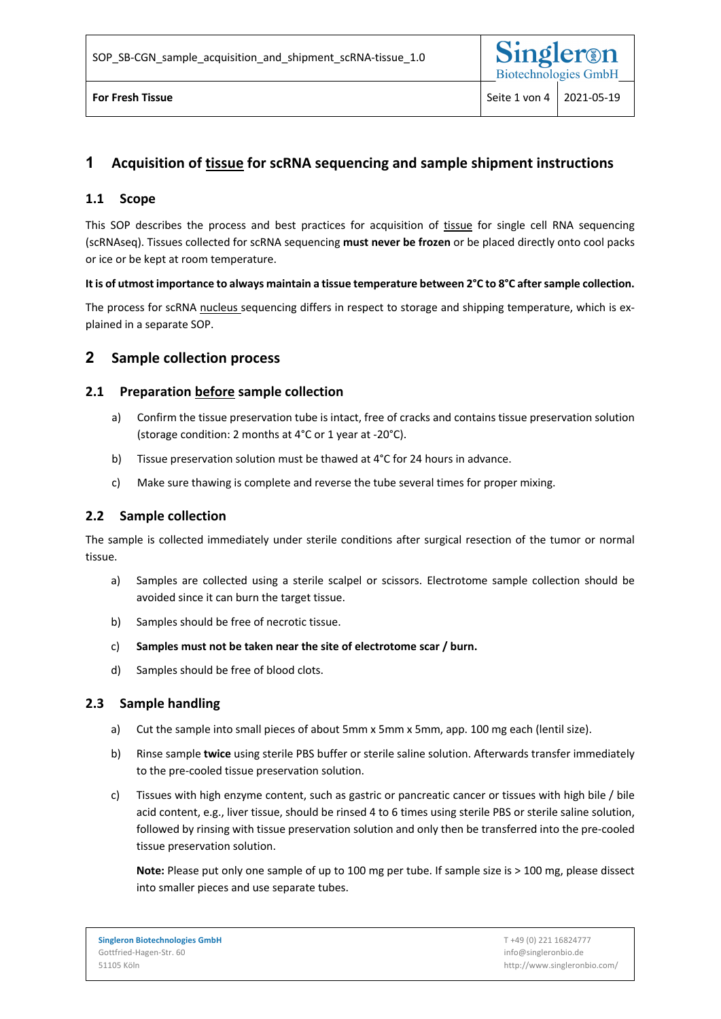# **1 Acquisition of tissue for scRNA sequencing and sample shipment instructions**

# **1.1 Scope**

This SOP describes the process and best practices for acquisition of tissue for single cell RNA sequencing (scRNAseq). Tissues collected for scRNA sequencing **must never be frozen** or be placed directly onto cool packs or ice or be kept at room temperature.

#### **It is of utmost importance to always maintain a tissue temperature between 2°C to 8°C after sample collection.**

The process for scRNA nucleus sequencing differs in respect to storage and shipping temperature, which is explained in a separate SOP.

# **2 Sample collection process**

### **2.1 Preparation before sample collection**

- a) Confirm the tissue preservation tube is intact, free of cracks and contains tissue preservation solution (storage condition: 2 months at 4°C or 1 year at -20°C).
- b) Tissue preservation solution must be thawed at 4°C for 24 hours in advance.
- c) Make sure thawing is complete and reverse the tube several times for proper mixing.

### **2.2 Sample collection**

The sample is collected immediately under sterile conditions after surgical resection of the tumor or normal tissue.

- a) Samples are collected using a sterile scalpel or scissors. Electrotome sample collection should be avoided since it can burn the target tissue.
- b) Samples should be free of necrotic tissue.
- c) **Samples must not be taken near the site of electrotome scar / burn.**
- d) Samples should be free of blood clots.

### **2.3 Sample handling**

- a) Cut the sample into small pieces of about 5mm x 5mm x 5mm, app. 100 mg each (lentil size).
- b) Rinse sample **twice** using sterile PBS buffer or sterile saline solution. Afterwards transfer immediately to the pre-cooled tissue preservation solution.
- c) Tissues with high enzyme content, such as gastric or pancreatic cancer or tissues with high bile / bile acid content, e.g., liver tissue, should be rinsed 4 to 6 times using sterile PBS or sterile saline solution, followed by rinsing with tissue preservation solution and only then be transferred into the pre-cooled tissue preservation solution.

**Note:** Please put only one sample of up to 100 mg per tube. If sample size is > 100 mg, please dissect into smaller pieces and use separate tubes.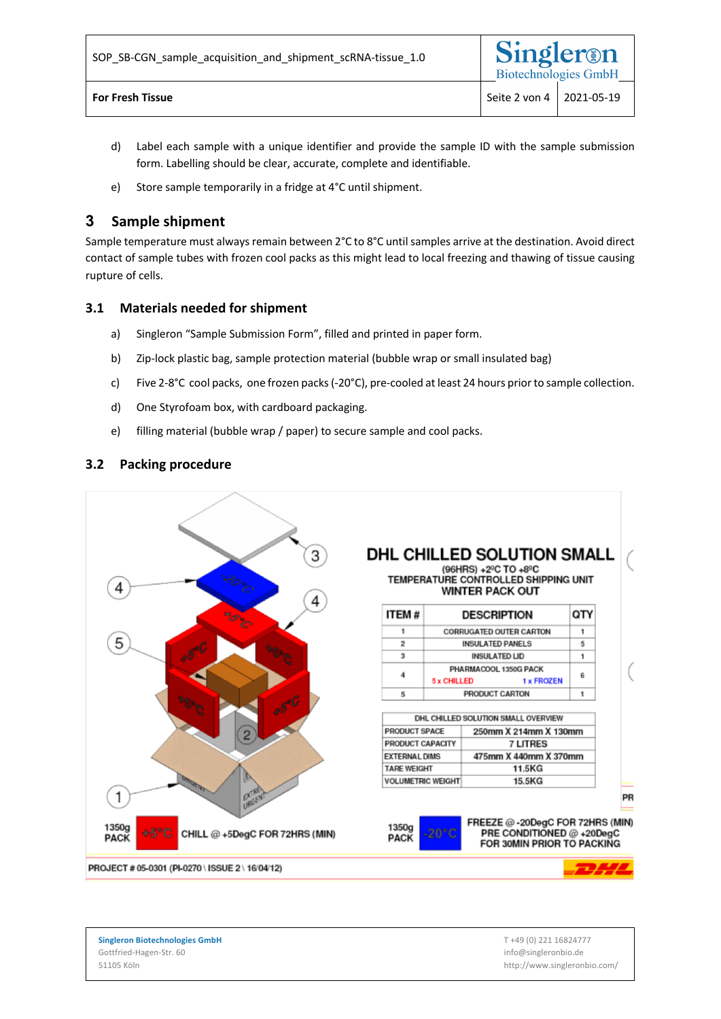- d) Label each sample with a unique identifier and provide the sample ID with the sample submission form. Labelling should be clear, accurate, complete and identifiable.
- e) Store sample temporarily in a fridge at 4°C until shipment.

# **3 Sample shipment**

Sample temperature must always remain between 2°C to 8°C until samples arrive at the destination. Avoid direct contact of sample tubes with frozen cool packs as this might lead to local freezing and thawing of tissue causing rupture of cells.

# **3.1 Materials needed for shipment**

- a) Singleron "Sample Submission Form", filled and printed in paper form.
- b) Zip-lock plastic bag, sample protection material (bubble wrap or small insulated bag)
- c) Five 2-8°C cool packs, one frozen packs(-20°C), pre-cooled at least 24 hours prior to sample collection.
- d) One Styrofoam box, with cardboard packaging.
- e) filling material (bubble wrap / paper) to secure sample and cool packs.

# **3.2 Packing procedure**



**Singleron Biotechnologies GmbH** Gottfried-Hagen-Str. 60 51105 Köln

T +49 (0) 221 16824777 info@singleronbio.de http://www.singleronbio.com/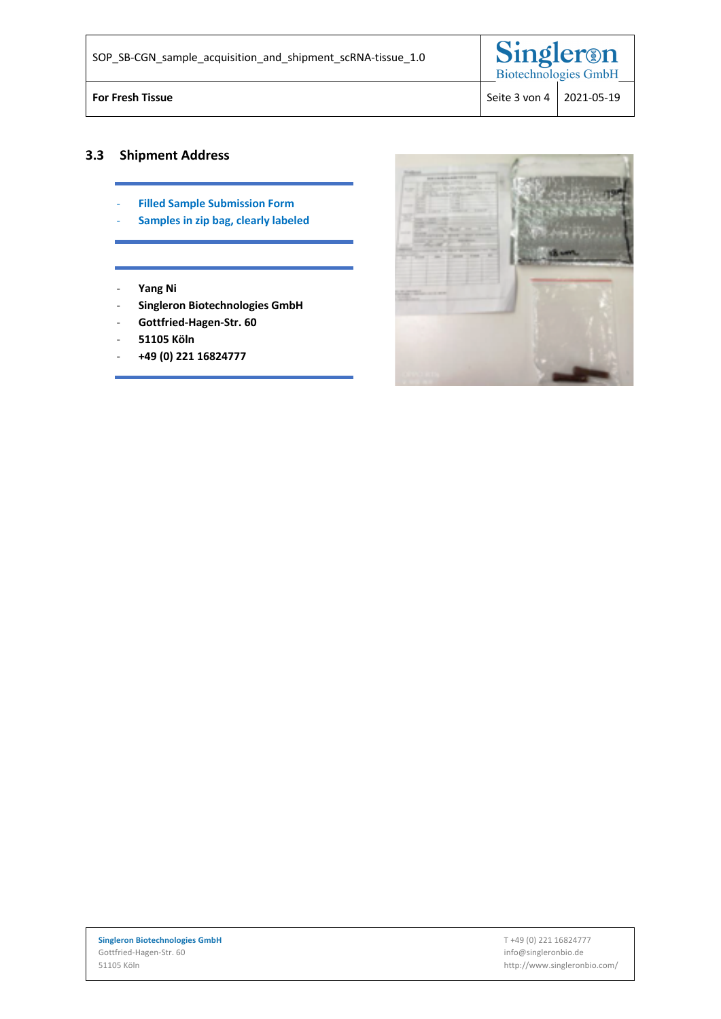| SOP_SB-CGN_sample_acquisition_and_shipment_scRNA-tissue 1.0 | Singleron<br><b>Biotechnologies GmbH</b> |  |
|-------------------------------------------------------------|------------------------------------------|--|
| <b>For Fresh Tissue</b>                                     | Seite 3 von 4   2021-05-19               |  |

# **3.3 Shipment Address**

- **Filled Sample Submission Form**
- **Samples in zip bag, clearly labeled**
- **Yang Ni**
- **Singleron Biotechnologies GmbH**
- **Gottfried-Hagen-Str. 60**
- **51105 Köln**
- **+49 (0) 221 16824777**